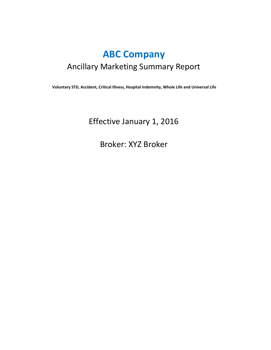## **ABC Company** Ancillary Marketing Summary Report

 **Voluntary STD, Accident, Critical Illness, Hospital Indemnity, Whole Life and Universal Life**

Effective January 1, 2016

Broker: XYZ Broker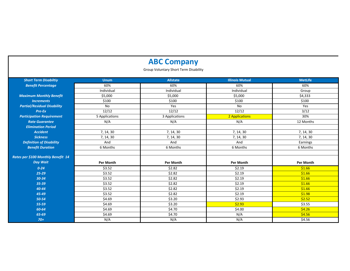## **ABC Company**

Group Voluntary Short Term Disability

| <b>Short Term Disabiltiy</b>       | <b>Unum</b>      | <b>Allstate</b> | <b>Illinois Mutual</b> | <b>MetLife</b>   |
|------------------------------------|------------------|-----------------|------------------------|------------------|
| <b>Benefit Percentage</b>          | 60%              | 60%             | 60%                    | 60%              |
|                                    | Individual       | Individual      | Individual             | Group            |
| <b>Maximum Monthly Benefit</b>     | \$5,000          | \$5,000         | \$5,000                | \$4,333          |
| <b>Increments</b>                  | \$100            | \$100           | \$100                  | \$100            |
| <b>Partial/Residual Disability</b> | No               | Yes             | No                     | Yes              |
| Pre-Ex                             | 12/12            | 12/12           | 12/12                  | 3/12             |
| <b>Participation Requirement</b>   | 5 Applications   | 3 Applications  | 2 Applications         | 30%              |
| <b>Rate Guarantee</b>              | N/A              | N/A             | N/A                    | 12 Months        |
| <b>Elimination Period</b>          |                  |                 |                        |                  |
| <b>Accident</b>                    | 7, 14, 30        | 7, 14, 30       | 7, 14, 30              | 7, 14, 30        |
| <b>Sickness</b>                    | 7, 14, 30        | 7, 14, 30       | 7, 14, 30              | 7, 14, 30        |
| <b>Definition of Disability</b>    | And              | And             | And                    | Earnings         |
| <b>Benefit Duration</b>            | 6 Months         | 6 Months        | 6 Months               | 6 Months         |
|                                    |                  |                 |                        |                  |
| Rates per \$100 Monthly Benefit 14 |                  |                 |                        |                  |
| <b>Day Wait</b>                    | <b>Per Month</b> | Per Month       | Per Month              | <b>Per Month</b> |
| $0 - 24$                           | \$3.52           | \$2.82          | \$2.19                 | \$1.66           |
| $25 - 29$                          | \$3.52           | \$2.82          | \$2.19                 | \$1.66           |
| $30 - 34$                          | \$3.52           | \$2.82          | \$2.19                 | \$1.66           |
| 35-39                              | \$3.52           | \$2.82          | \$2.19                 | \$1.66           |
| 40-44                              | \$3.52           | \$2.82          | \$2.19                 | \$1.66           |
| 45-49                              | \$3.52           | \$2.82          | \$2.19                 | \$1.98           |
| 50-54                              | \$4.69           | \$3.20          | \$2.93                 | \$2.52           |
| 55-59                              | \$4.69           | \$3.20          | \$2.93                 | \$3.55           |
| 60-64                              | \$4.69           | \$4.70          | \$4.00                 | \$4.26           |
| 65-69                              | \$4.69           | \$4.70          | N/A                    | \$4.56           |
| $70+$                              | N/A              | N/A             | N/A                    | \$4.56           |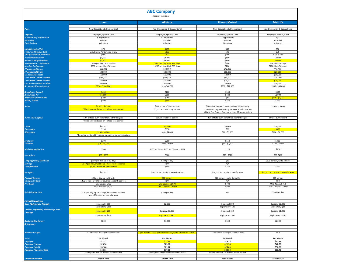| <b>ABC Company</b><br>Accident Insurance                                                |                                                                                                                   |                                                                  |                                                                                                                                                                      |                                                   |
|-----------------------------------------------------------------------------------------|-------------------------------------------------------------------------------------------------------------------|------------------------------------------------------------------|----------------------------------------------------------------------------------------------------------------------------------------------------------------------|---------------------------------------------------|
|                                                                                         | <b>Unum</b>                                                                                                       | <b>Allstate</b>                                                  | <b>Illinois Mutual</b>                                                                                                                                               | <b>MetLife</b>                                    |
| Plan:                                                                                   | Non-Occupation & Occupational                                                                                     | Non-Occupation & Occupational                                    | Non-Occupation & Occupational                                                                                                                                        | Non-Occupation & Occupational                     |
| Eligibility<br><b>Minimum # of Applications</b>                                         | Employee, Spouse, Child<br>5 Applications                                                                         | Employee, Spouse, Child<br>5 Applications                        | Employee, Spouse, Child<br>2 Applications                                                                                                                            | Employee, Spouse, Child<br>N/A                    |
| <b>Portability</b><br><b>Contributions</b>                                              | Included<br>Voluntary                                                                                             | Included<br>Voluntary                                            | Included<br>Voluntary                                                                                                                                                | Included<br>Voluntary                             |
| <b>Initial Physician Visit</b><br><b>Follow-up Physician Visit</b>                      | \$75<br>\$75, Limit 2 Per Covered Injury                                                                          | \$100<br>\$100                                                   | \$40<br>\$40                                                                                                                                                         | \$50<br>\$75                                      |
| <b>Emergency Room Treatment</b><br><b>Initial Hospitalization</b>                       | \$150<br>\$1,000                                                                                                  | \$200<br>\$1,000                                                 | \$160<br>\$800                                                                                                                                                       | $$50 - $100$<br>\$1,000                           |
| <b>Initial ICU Hospitalization</b><br><b>Intensive Care Confinement</b>                 | \$1,500<br>\$400 per day, Limit 15 days                                                                           | \$1,000<br>\$400 per day, Limit 180 days                         | \$800<br>\$400                                                                                                                                                       | \$2,000<br>400, Limit 30 days                     |
| <b>Hospital Confinement</b><br><b>EE Accidental Death</b><br><b>SP Accidental Death</b> | \$200 per day, Limit 365 days<br>\$50,000<br>\$20,000                                                             | \$200 per day, Limit 365 days<br>\$40,000<br>\$20,000            | \$200<br>\$40,000<br>\$10,000                                                                                                                                        | \$200, Limit 365 days<br>\$50,000<br>\$25,000     |
| <b>CH Accidental Death</b><br><b>EE Common Carrier Accident</b>                         | \$10,000<br>\$150,000                                                                                             | \$10,000<br>\$100,000                                            | \$4,000<br>\$80,000                                                                                                                                                  | \$10,000<br>\$150,000                             |
| <b>SP Common Carrier Accident</b><br><b>CH Common Carrier Accident</b>                  | \$60,000<br>\$30,000                                                                                              | \$50,000<br>\$25,000                                             | \$20,000<br>\$8,000                                                                                                                                                  | \$75,000<br>\$30,000                              |
| <b>Accidental Dismemberment</b>                                                         | \$750 - \$100,000                                                                                                 | Up to \$40,000                                                   | \$360 - \$12,000                                                                                                                                                     | \$500 - \$50,000                                  |
| Ambulance: Ground<br>Ambulance: Air                                                     | \$400<br>\$1,500                                                                                                  | \$200<br>\$600                                                   | \$240<br>\$480<br>\$80                                                                                                                                               | \$300<br>\$1,000                                  |
| <b>Appliances (Wheelchair)</b><br><b>Blood / Plasma</b>                                 | \$100<br>\$400                                                                                                    | \$250<br>\$600                                                   | \$240                                                                                                                                                                | $$100 - $1,000$<br>\$400                          |
| Burns                                                                                   | \$1,000 - \$10,000<br>*Fixed amount based on surface area burned                                                  | $$200 < 15\%$ of body surface<br>$$1,000 > 15\%$ of body surface | \$600 - 2nd Degree Covering at least 36% of body<br>\$1,200 - 3rd Degree Covering between 9 and 35 inches<br>\$8,000 - 3rd Degree Covering at least 35 square inches | \$100 - \$10,000                                  |
| <b>Burns: Skin Grafting</b>                                                             | 50% of total burn benefit for 2nd/3rd degree<br>*Fixed amount based on surface area burned                        | 50% of total burn benefit                                        | 25% of total burn benefit for 2nd/3rd degree                                                                                                                         | 50% of Burn Benefit                               |
| Coma<br><b>Concussion</b>                                                               | \$10,000<br>\$150                                                                                                 | \$20,000<br>\$150                                                | \$8,000<br>\$80                                                                                                                                                      | \$10,000<br>\$400                                 |
| <b>Dislocation</b>                                                                      | $$150 - $6,000$<br>*Based on joint and if repaired by open or closed reduction                                    | up to \$4,000                                                    | $$80 - $1,600$                                                                                                                                                       | \$100 - \$6,000                                   |
| Eye Injury<br><b>Fractures</b>                                                          | \$300<br>$$75 - $7,500$                                                                                           | \$200<br>up to \$4,000                                           | \$160<br>$$40 - $2,000$                                                                                                                                              | \$300<br>\$100-\$6,000                            |
| <b>Medical Imaging Test</b>                                                             | \$200                                                                                                             | \$200 for X-Ray, \$100 for CT scan or MRI                        | \$120                                                                                                                                                                | \$200                                             |
| Lacerations                                                                             | $$25 - $600$                                                                                                      | \$100                                                            | \$20 - \$320                                                                                                                                                         | \$50-\$400                                        |
| Lodging (Family Members)<br>Mileage<br><b>Transportation</b>                            | \$150 per day, up to 30 days<br>\$0.40 per mile, must be 50+ miles from residence<br>\$1,440 maximum per accident | \$200 per day<br>N/A<br>\$500                                    | \$80<br>N/A<br>\$240                                                                                                                                                 | \$200 per day, up to 30 days<br>\$400             |
| <b>Paralysis</b>                                                                        | \$15,000                                                                                                          | \$30,000 for Quad / \$15,000 for Para                            | \$24,000 for Quad / \$12,00 for Para                                                                                                                                 | \$50,000 for Quad / \$25,000 for Para             |
| <b>Physical Therapy</b>                                                                 | \$25 per day, up to 10 visits                                                                                     | \$60 per day                                                     | \$20 per day, up to 6 months                                                                                                                                         | \$25 per day                                      |
| <b>Chiropractic Care</b><br><b>Prosthesis</b>                                           | \$25 per visit - 3 visits per covered accident, per year<br>One Device: \$750<br>Two+ Devices: \$1,500            | N/A<br>One Device: \$1,000<br>Two+ Devices: \$2,000              | N/A<br>\$400<br>\$800                                                                                                                                                | N/A<br>One Device: \$750<br>Two+ Devices: \$1,500 |
| <b>Rehabilitation Unit</b>                                                              | \$100 per day, up to 15 days per covered accident<br>Max of 30 days per calendar year                             | \$200 per day                                                    | N/A                                                                                                                                                                  | \$200 per day                                     |
| <b>Surgical Procedures:</b><br><b>Open Abdominal / Thoracic</b>                         | Surgery: \$1,500                                                                                                  | \$2,000                                                          | Surgery: \$800                                                                                                                                                       | Surgery: \$2,000                                  |
| Tendons, Ligaments, Rotator Cuff, Knee                                                  | Exploratory: 5150                                                                                                 |                                                                  | Exploratory: 580                                                                                                                                                     | Exploratory: 580                                  |
| <b>Cartilage</b>                                                                        | Surgery: \$1,200<br>Exploratory: \$150                                                                            | Surgery: \$1,000<br>Exploratory: \$300                           | Surgery: \$480<br>Exploratory: \$80                                                                                                                                  | Surgery: \$1,000<br>Exploratory: \$150            |
| <b>Ruptured Disc Surgery</b>                                                            | \$800                                                                                                             | \$1,000                                                          | \$320                                                                                                                                                                | \$1,000                                           |
| <b>Arthroscopy</b>                                                                      |                                                                                                                   |                                                                  |                                                                                                                                                                      |                                                   |
| <b>Wellness Benefit</b>                                                                 | \$50 benefit - once per calendar year                                                                             | \$50 benefit - twice per calendar year, up to 4 times for Family | \$50 benefit - once per calendar year                                                                                                                                | N/A                                               |
| Rates<br><b>Employee</b>                                                                | Per Month<br>\$17.77                                                                                              | Per Month<br>\$13.70                                             | Per Month<br>\$14.73                                                                                                                                                 | Per Month<br>\$27.71                              |
| <b>Employee / Spouse</b><br>Employee / Child                                            | \$29.30<br>\$32.08                                                                                                | \$23.68<br>\$29.12                                               | \$21.34<br>\$26.89                                                                                                                                                   | \$42.96<br>\$50.06                                |
| <b>Employee / Spouse / Child</b>                                                        | \$43.61<br>Monthly Rates with \$50 Wellness Benefit Included                                                      | \$37.90<br>Monthly Rates with \$50 Wellness Benefit Included     | \$33.50<br>Monthly Rates with \$50 Wellness Benefit Included                                                                                                         | \$66.70                                           |
| <b>Enrollment Method</b>                                                                | <b>Face to Face</b>                                                                                               | <b>Face to Face</b>                                              | <b>Face to Face</b>                                                                                                                                                  | <b>Face to Face</b>                               |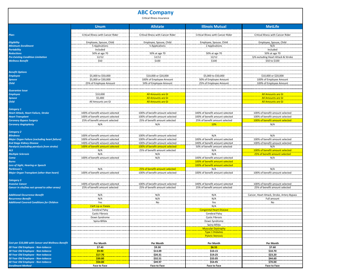|                                                                        |                                        | <b>ABC Company</b><br>Critical Illness Insurance                  |                                        |                                             |
|------------------------------------------------------------------------|----------------------------------------|-------------------------------------------------------------------|----------------------------------------|---------------------------------------------|
|                                                                        | <b>Unum</b>                            | <b>Allstate</b>                                                   | <b>Illinois Mutual</b>                 | <b>MetLife</b>                              |
| Plan:                                                                  | Critical Illness with Cancer Rider     | Critical Illness with Cancer Rider                                | Critical Illness with Cancer Rider     | Critical Illness with Cancer Rider          |
| <b>Eligibility</b>                                                     | Employee, Spouse, Child                | Employee, Spouse, Child                                           | Employee, Spouse, Child                | Employee, Spouse, Child                     |
| <b>Minimum Enrollment</b>                                              | 5 Applications                         | 5 Applications                                                    | 2 Applications                         | N/A                                         |
| <b>Portability</b>                                                     | Included                               |                                                                   |                                        | Included                                    |
| <b>Reductions</b>                                                      | 50% at age 70                          | 50% at age 70                                                     | 50% at age 70                          | 50% at age 70                               |
| <b>Pre-Existing Condition Limitation</b>                               | 12/12                                  | 12/12                                                             | 12/12                                  | 3/6 excluding Heart Attack & Stroke         |
| <b>Wellness Benefit</b>                                                | \$50                                   | \$100                                                             | \$100                                  | \$50 to \$100                               |
|                                                                        |                                        |                                                                   |                                        |                                             |
| <b>Benefit Options</b>                                                 |                                        |                                                                   |                                        |                                             |
| <b>Employee</b>                                                        | \$5,000 to \$50,000                    | \$10,000 or \$20,000                                              | \$5,000 to \$50,000                    | \$10,000 or \$20,000                        |
| <b>Spouse</b>                                                          | \$5,000 or \$30,000                    | 100% of Employee Amount                                           | 50% of Employee Amount                 | 100% of Employee Amount                     |
| <b>Child</b>                                                           | 25% of Employee Amount                 | 50% of Employee Amount                                            | 25% of Employee Amount                 | 100% of Employee Amount                     |
|                                                                        |                                        |                                                                   |                                        |                                             |
| <b>Guarantee Issue</b>                                                 |                                        |                                                                   |                                        |                                             |
| <b>Employee</b>                                                        | \$10,000                               | All Amounts are GI                                                |                                        | <b>All Amounts are GI</b>                   |
| <b>Spouse</b>                                                          | \$5,000                                | <b>All Amounts are GI</b>                                         |                                        | <b>All Amounts are GI</b>                   |
| <b>Child</b>                                                           | All Amounts are GI                     | <b>All Amounts are GI</b>                                         |                                        | <b>All Amounts are GI</b>                   |
| Category 1                                                             |                                        |                                                                   |                                        |                                             |
| <b>Heart Attack, Heart Failure, Stroke</b>                             | 100% of benefit amount selected        | 100% of benefit amount selected                                   | 100% of benefit amount selected        | 100% of benefit amount selected             |
| <b>Heart Transplant</b>                                                | 100% of benefit amount selected        | 100% of benefit amount selected                                   | 100% of benefit amount selected        | 100% of benefit amount selected             |
| <b>Coronary Bypass Surgery</b>                                         | 25% of benefit amount selected         | 25% of benefit amount selected                                    | 25% of benefit amount selected         | 100% of benefit amount selected             |
| <b>Coronary Angioplasty</b>                                            | N/A                                    | N/A                                                               | 10%                                    | N/A                                         |
|                                                                        |                                        |                                                                   |                                        |                                             |
| <b>Category 2</b>                                                      |                                        |                                                                   |                                        |                                             |
| <b>Blindness</b>                                                       | 100% of benefit amount selected        | 100% of benefit amount selected                                   | N/A                                    | N/A                                         |
| <b>Major Organ Failure (excluding heart failure)</b>                   | 100% of benefit amount selected        | 100% of benefit amount selected                                   | 100% of benefit amount selected        | 100% of benefit amount selected             |
| <b>End Stage Kidney Disease</b>                                        | 100% of benefit amount selected        | 100% of benefit amount selected                                   | 100% of benefit amount selected        | 100% of benefit amount selected             |
| <b>Paralysis (excluding paralysis from stroke)</b>                     | 100% of benefit amount selected        | 100% of benefit amount selected                                   | 50% of benefit amount selected         | N/A                                         |
| <b>ALS</b>                                                             | N/A                                    | 25% of benefit amount selected                                    | N/A                                    | 100% of benefit amount selected             |
| <b>Multiple Sclerosis</b>                                              | N/A                                    | N/A                                                               | N/A                                    | 25% of benefit amount selected              |
| Coma                                                                   | 100% of benefit amount selected        | N/A                                                               | 100% of benefit amount selected        | N/A                                         |
| <b>Burns</b>                                                           |                                        |                                                                   | 100% of benefit amount selected        |                                             |
| <b>Loss of Sight, Hearing or Speech</b>                                |                                        |                                                                   | 100% of benefit amount selected        |                                             |
| <b>Parkinson's</b><br><b>Major Organ Transplant (other than heart)</b> | N/A<br>100% of benefit amount selected | 25% of benefit amount selected<br>100% of benefit amount selected | N/A<br>100% of benefit amount selected | N/A<br>100% of benefit amount selected      |
|                                                                        |                                        |                                                                   |                                        |                                             |
| <b>Category 3</b>                                                      |                                        |                                                                   |                                        |                                             |
| <b>Invasive Cancer</b>                                                 | 100% of benefit amount selected        | 100% of benefit amount selected                                   | 100% of benefit amount selected        | 100% of benefit amount selected             |
| Cancer in situ(has not spread to other areas)                          | 25% of benefit amount selected         | 25% of benefit amount selected                                    | 25% of benefit amount selected         | 25% of benefit amount selected              |
| <b>Additional Occurrence Benefit</b>                                   | N/A                                    | N/A                                                               | N/A                                    | Cancer, Heart Attack, Stroke, Artery Bypass |
| <b>Recurrence Benefit</b>                                              | N/A                                    | N/A                                                               | N/A                                    | Full amount                                 |
| <b>Additional Covered Conditions for Children</b>                      | Yes                                    | No                                                                | Yes                                    | No                                          |
|                                                                        | <b>Cleft Lip or Palate</b>             |                                                                   | N/A                                    |                                             |
|                                                                        | Cerebral Palsy                         |                                                                   | <b>Congenital Heart Disease</b>        |                                             |
|                                                                        | <b>Cystic Fibrosis</b>                 |                                                                   | Cerebral Palsy                         |                                             |
|                                                                        | Down Syndrome                          |                                                                   | <b>Cystic Fibrosis</b>                 |                                             |
|                                                                        | Spina Bifida                           |                                                                   | Down Syndrome                          |                                             |
|                                                                        |                                        |                                                                   | Spina Bifida                           |                                             |
|                                                                        |                                        |                                                                   | <b>Muscular Dystrophy</b>              |                                             |
|                                                                        |                                        |                                                                   | <b>Type 1 Disbetes</b>                 |                                             |
|                                                                        |                                        |                                                                   | <b>Pyloric Stenosis</b>                |                                             |
| Cost per \$10,000 with Cancer and Wellness Benefit                     | Per Month                              | Per Month                                                         | Per Month                              | Per Month                                   |
| 20 Year Old Employee - Non-tobacco                                     | \$7.40                                 | \$9.30                                                            | \$6.55                                 | \$7.60                                      |
| 30 Year Old Employee - Non-tobacco                                     | \$9.90                                 | \$13.09                                                           | \$10.15                                | \$10.70                                     |
| 40 Year Old Employee - Non-tobacco                                     | \$17.70                                | \$20.31                                                           | \$19.25                                | \$23.20                                     |
| 50 Year Old Employee - Non-tobacco                                     | \$30.80                                | \$32.51                                                           | \$33.05                                | \$44.60                                     |
| 60 Year Old Employee - Non-tobacco                                     | \$50.80                                | \$49.97                                                           | \$54.95                                | \$70.00                                     |

*Enrollment Method* **Face to Face Face to Face Face to Face Face to Face**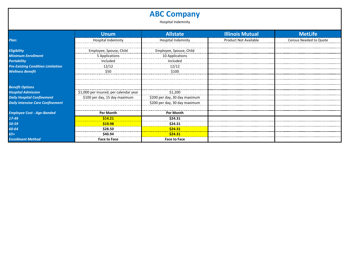## **ABC Company**

Hospital Indemnity

|                                          | <b>Unum</b>                            | <b>Allstate</b>               | <b>Illinois Mutual</b>       | <b>MetLife</b>         |
|------------------------------------------|----------------------------------------|-------------------------------|------------------------------|------------------------|
| Plan:                                    | <b>Hospital Indemnity</b>              | <b>Hospital Indemnity</b>     | <b>Product Not Available</b> | Census Needed to Quote |
|                                          |                                        |                               |                              |                        |
| <b>Eligibility</b>                       | Employee, Spouse, Child                | Employee, Spouse, Child       |                              |                        |
| <b>Minimum Enrollment</b>                | 5 Applications                         | 10 Applications               |                              |                        |
| <b>Portability</b>                       | Included                               | Included                      |                              |                        |
| <b>Pre-Existing Condition Limitation</b> | 12/12                                  | 12/12                         |                              |                        |
| <b>Wellness Benefit</b>                  | \$50                                   | \$100                         |                              |                        |
|                                          |                                        |                               |                              |                        |
|                                          |                                        |                               |                              |                        |
| <b>Benefit Options</b>                   |                                        |                               |                              |                        |
| <b>Hospital Admission</b>                | \$1,000 per insured, per calendar year | \$1,200                       |                              |                        |
| <b>Daily Hospital Confinement</b>        | \$100 per day, 15 day maximum          | \$200 per day, 30 day maximum |                              |                        |
| <b>Daily Intensive Care Confinement</b>  |                                        | \$200 per day, 30 day maximum |                              |                        |
|                                          |                                        |                               |                              |                        |
| <b>Employee Cost - Age-Banded</b>        | Per Month                              | Per Month                     |                              |                        |
| 17-49                                    | \$14.21                                | \$24.31                       |                              |                        |
| 50-59                                    | \$19.98                                | \$24.31                       |                              |                        |
| 60-64                                    | \$28.50                                | \$24.31                       |                              |                        |
| $65+$                                    | \$40.94                                | \$24.31                       |                              |                        |
| <b>Enrollment Method</b>                 | <b>Face to Face</b>                    | <b>Face to Face</b>           |                              |                        |